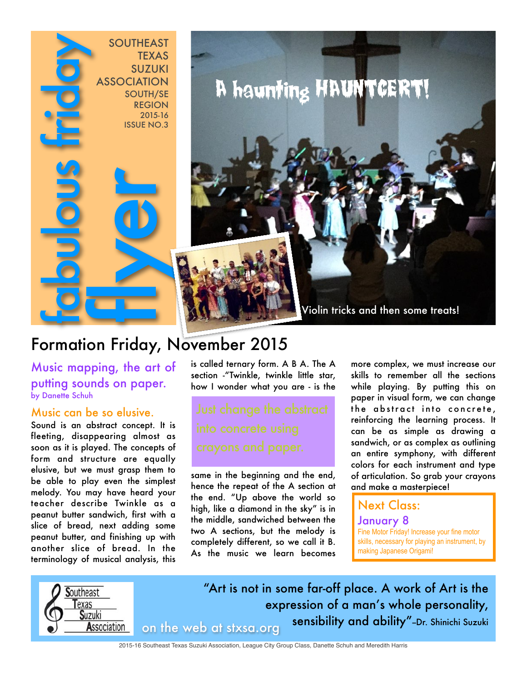

## Formation Friday, November 2015

Music mapping, the art of putting sounds on paper. by Danette Schuh

#### Music can be so elusive.

Sound is an abstract concept. It is fleeting, disappearing almost as soon as it is played. The concepts of form and structure are equally elusive, but we must grasp them to be able to play even the simplest melody. You may have heard your teacher describe Twinkle as a peanut butter sandwich, first with a slice of bread, next adding some peanut butter, and finishing up with another slice of bread. In the terminology of musical analysis, this

is called ternary form. A B A. The A section -"Twinkle, twinkle little star, how I wonder what you are - is the

same in the beginning and the end, hence the repeat of the A section at the end. "Up above the world so high, like a diamond in the sky" is in the middle, sandwiched between the two A sections, but the melody is completely different, so we call it B. As the music we learn becomes more complex, we must increase our skills to remember all the sections while playing. By putting this on paper in visual form, we can change the abstract into concrete, reinforcing the learning process. It can be as simple as drawing a sandwich, or as complex as outlining an entire symphony, with different colors for each instrument and type of articulation. So grab your crayons and make a masterpiece!

### Next Class:

January 8 Fine Motor Friday! Increase your fine motor skills, necessary for playing an instrument, by making Japanese Origami!



"Art is not in some far-off place. A work of Art is the expression of a man's whole personality, on the web at stxsa.org sensibility and ability"-Dr. Shinichi Suzuki